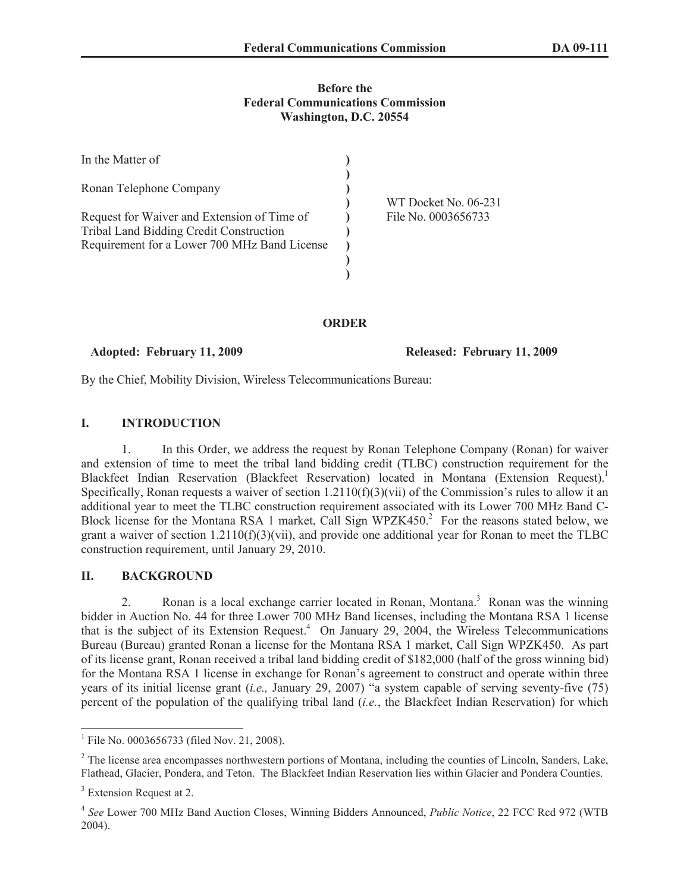# **Before the Federal Communications Commission Washington, D.C. 20554**

| In the Matter of                                                                       |                      |
|----------------------------------------------------------------------------------------|----------------------|
| Ronan Telephone Company                                                                | WT Docket No. 06-231 |
| Request for Waiver and Extension of Time of<br>Tribal Land Bidding Credit Construction | File No. 0003656733  |
| Requirement for a Lower 700 MHz Band License                                           |                      |
|                                                                                        |                      |

#### **ORDER**

#### **Adopted: February 11, 2009 Released: February 11, 2009**

By the Chief, Mobility Division, Wireless Telecommunications Bureau:

# **I. INTRODUCTION**

1. In this Order, we address the request by Ronan Telephone Company (Ronan) for waiver and extension of time to meet the tribal land bidding credit (TLBC) construction requirement for the Blackfeet Indian Reservation (Blackfeet Reservation) located in Montana (Extension Request).<sup>1</sup> Specifically, Ronan requests a waiver of section  $1.2110(f)(3)(vi)$  of the Commission's rules to allow it an additional year to meet the TLBC construction requirement associated with its Lower 700 MHz Band C-Block license for the Montana RSA 1 market, Call Sign WPZK450.<sup>2</sup> For the reasons stated below, we grant a waiver of section  $1.2110(f)(3)(vii)$ , and provide one additional year for Ronan to meet the TLBC construction requirement, until January 29, 2010.

# **II. BACKGROUND**

2. Ronan is a local exchange carrier located in Ronan, Montana.<sup>3</sup> Ronan was the winning bidder in Auction No. 44 for three Lower 700 MHz Band licenses, including the Montana RSA 1 license that is the subject of its Extension Request.<sup>4</sup> On January 29, 2004, the Wireless Telecommunications Bureau (Bureau) granted Ronan a license for the Montana RSA 1 market, Call Sign WPZK450. As part of its license grant, Ronan received a tribal land bidding credit of \$182,000 (half of the gross winning bid) for the Montana RSA 1 license in exchange for Ronan's agreement to construct and operate within three years of its initial license grant (*i.e.,* January 29, 2007) "a system capable of serving seventy-five (75) percent of the population of the qualifying tribal land (*i.e.*, the Blackfeet Indian Reservation) for which

<sup>&</sup>lt;sup>1</sup> File No. 0003656733 (filed Nov. 21, 2008).

<sup>&</sup>lt;sup>2</sup> The license area encompasses northwestern portions of Montana, including the counties of Lincoln, Sanders, Lake, Flathead, Glacier, Pondera, and Teton. The Blackfeet Indian Reservation lies within Glacier and Pondera Counties.

<sup>&</sup>lt;sup>3</sup> Extension Request at 2.

<sup>4</sup> *See* Lower 700 MHz Band Auction Closes, Winning Bidders Announced, *Public Notice*, 22 FCC Rcd 972 (WTB 2004).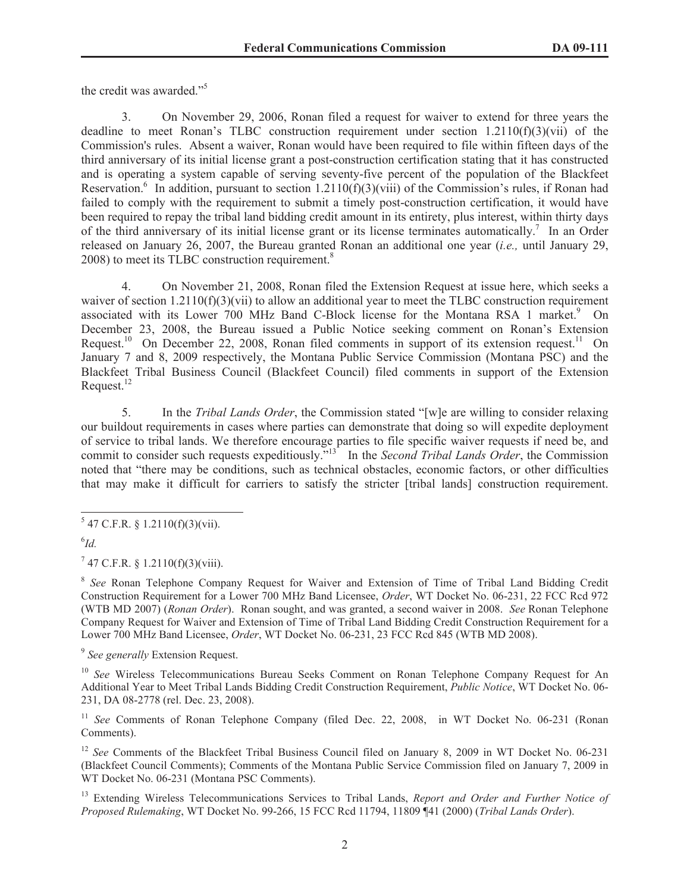the credit was awarded."<sup>5</sup>

3. On November 29, 2006, Ronan filed a request for waiver to extend for three years the deadline to meet Ronan's TLBC construction requirement under section  $1.2110(f)(3)(vi)$  of the Commission's rules. Absent a waiver, Ronan would have been required to file within fifteen days of the third anniversary of its initial license grant a post-construction certification stating that it has constructed and is operating a system capable of serving seventy-five percent of the population of the Blackfeet Reservation.<sup>6</sup> In addition, pursuant to section 1.2110(f)(3)(viii) of the Commission's rules, if Ronan had failed to comply with the requirement to submit a timely post-construction certification, it would have been required to repay the tribal land bidding credit amount in its entirety, plus interest, within thirty days of the third anniversary of its initial license grant or its license terminates automatically.<sup>7</sup> In an Order released on January 26, 2007, the Bureau granted Ronan an additional one year (*i.e.,* until January 29, 2008) to meet its TLBC construction requirement.<sup>8</sup>

4. On November 21, 2008, Ronan filed the Extension Request at issue here, which seeks a waiver of section  $1.2110(f)(3)(vi)$  to allow an additional year to meet the TLBC construction requirement associated with its Lower 700 MHz Band C-Block license for the Montana RSA 1 market.<sup>9</sup> On December 23, 2008, the Bureau issued a Public Notice seeking comment on Ronan's Extension Request.<sup>10</sup> On December 22, 2008, Ronan filed comments in support of its extension request.<sup>11</sup> On January 7 and 8, 2009 respectively, the Montana Public Service Commission (Montana PSC) and the Blackfeet Tribal Business Council (Blackfeet Council) filed comments in support of the Extension Request. $^{12}$ 

5. In the *Tribal Lands Order*, the Commission stated "[w]e are willing to consider relaxing our buildout requirements in cases where parties can demonstrate that doing so will expedite deployment of service to tribal lands. We therefore encourage parties to file specific waiver requests if need be, and commit to consider such requests expeditiously."<sup>13</sup> In the *Second Tribal Lands Order*, the Commission noted that "there may be conditions, such as technical obstacles, economic factors, or other difficulties that may make it difficult for carriers to satisfy the stricter [tribal lands] construction requirement.

 $747$  C.F.R. § 1.2110(f)(3)(viii).

<sup>8</sup> See Ronan Telephone Company Request for Waiver and Extension of Time of Tribal Land Bidding Credit Construction Requirement for a Lower 700 MHz Band Licensee, *Order*, WT Docket No. 06-231, 22 FCC Rcd 972 (WTB MD 2007) (*Ronan Order*). Ronan sought, and was granted, a second waiver in 2008. *See* Ronan Telephone Company Request for Waiver and Extension of Time of Tribal Land Bidding Credit Construction Requirement for a Lower 700 MHz Band Licensee, *Order*, WT Docket No. 06-231, 23 FCC Rcd 845 (WTB MD 2008).

9 *See generally* Extension Request.

<sup>10</sup> *See* Wireless Telecommunications Bureau Seeks Comment on Ronan Telephone Company Request for An Additional Year to Meet Tribal Lands Bidding Credit Construction Requirement, *Public Notice*, WT Docket No. 06- 231, DA 08-2778 (rel. Dec. 23, 2008).

<sup>11</sup> *See* Comments of Ronan Telephone Company (filed Dec. 22, 2008, in WT Docket No. 06-231 (Ronan Comments).

<sup>12</sup> *See* Comments of the Blackfeet Tribal Business Council filed on January 8, 2009 in WT Docket No. 06-231 (Blackfeet Council Comments); Comments of the Montana Public Service Commission filed on January 7, 2009 in WT Docket No. 06-231 (Montana PSC Comments).

<sup>13</sup> Extending Wireless Telecommunications Services to Tribal Lands, *Report and Order and Further Notice of Proposed Rulemaking*, WT Docket No. 99-266, 15 FCC Rcd 11794, 11809 ¶41 (2000) (*Tribal Lands Order*).

 $5$  47 C.F.R. § 1.2110(f)(3)(vii).

<sup>6</sup> *Id.*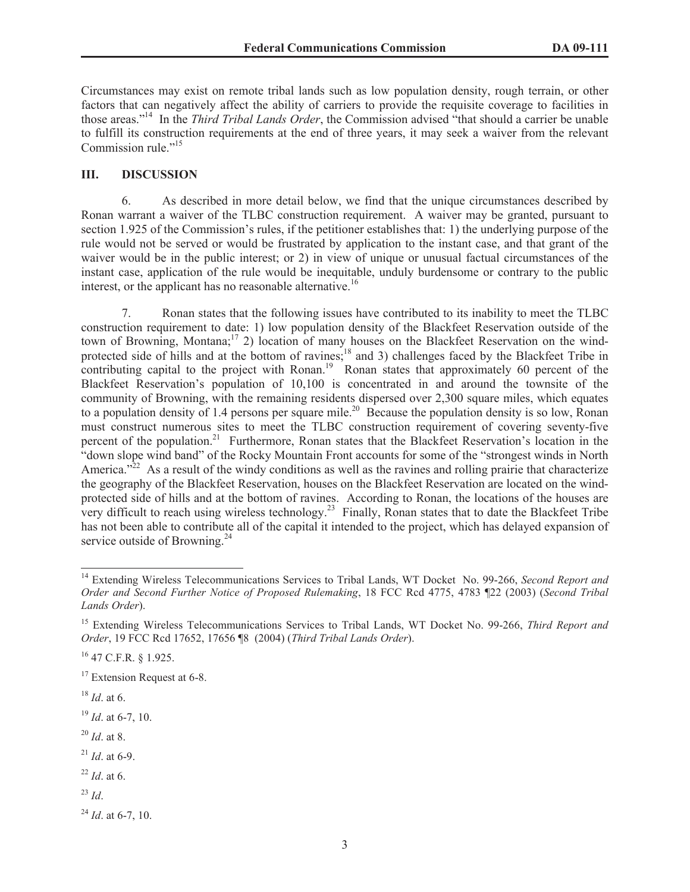Circumstances may exist on remote tribal lands such as low population density, rough terrain, or other factors that can negatively affect the ability of carriers to provide the requisite coverage to facilities in those areas."<sup>14</sup> In the *Third Tribal Lands Order*, the Commission advised "that should a carrier be unable to fulfill its construction requirements at the end of three years, it may seek a waiver from the relevant Commission rule."<sup>15</sup>

# **III. DISCUSSION**

6. As described in more detail below, we find that the unique circumstances described by Ronan warrant a waiver of the TLBC construction requirement. A waiver may be granted, pursuant to section 1.925 of the Commission's rules, if the petitioner establishes that: 1) the underlying purpose of the rule would not be served or would be frustrated by application to the instant case, and that grant of the waiver would be in the public interest; or 2) in view of unique or unusual factual circumstances of the instant case, application of the rule would be inequitable, unduly burdensome or contrary to the public interest, or the applicant has no reasonable alternative.<sup>16</sup>

7. Ronan states that the following issues have contributed to its inability to meet the TLBC construction requirement to date: 1) low population density of the Blackfeet Reservation outside of the town of Browning, Montana;<sup>17</sup> 2) location of many houses on the Blackfeet Reservation on the windprotected side of hills and at the bottom of ravines;<sup>18</sup> and 3) challenges faced by the Blackfeet Tribe in contributing capital to the project with Ronan.<sup>19</sup> Ronan states that approximately 60 percent of the Blackfeet Reservation's population of 10,100 is concentrated in and around the townsite of the community of Browning, with the remaining residents dispersed over 2,300 square miles, which equates to a population density of 1.4 persons per square mile.<sup>20</sup> Because the population density is so low, Ronan must construct numerous sites to meet the TLBC construction requirement of covering seventy-five percent of the population.<sup>21</sup> Furthermore, Ronan states that the Blackfeet Reservation's location in the "down slope wind band" of the Rocky Mountain Front accounts for some of the "strongest winds in North America.<sup>22</sup> As a result of the windy conditions as well as the ravines and rolling prairie that characterize the geography of the Blackfeet Reservation, houses on the Blackfeet Reservation are located on the windprotected side of hills and at the bottom of ravines. According to Ronan, the locations of the houses are very difficult to reach using wireless technology.<sup>23</sup> Finally, Ronan states that to date the Blackfeet Tribe has not been able to contribute all of the capital it intended to the project, which has delayed expansion of service outside of Browning.<sup>24</sup>

- <sup>20</sup> *Id*. at 8.
- <sup>21</sup> *Id*. at 6-9.
- <sup>22</sup> *Id*. at 6.
- $^{23}$  *Id*.

 $^{24}$  *Id.* at 6-7, 10.

<sup>14</sup> Extending Wireless Telecommunications Services to Tribal Lands, WT Docket No. 99-266, *Second Report and Order and Second Further Notice of Proposed Rulemaking*, 18 FCC Rcd 4775, 4783 ¶22 (2003) (*Second Tribal Lands Order*).

<sup>15</sup> Extending Wireless Telecommunications Services to Tribal Lands, WT Docket No. 99-266, *Third Report and Order*, 19 FCC Rcd 17652, 17656 ¶8 (2004) (*Third Tribal Lands Order*).

<sup>16</sup> 47 C.F.R. § 1.925.

<sup>&</sup>lt;sup>17</sup> Extension Request at 6-8.

<sup>18</sup> *Id*. at 6.

<sup>19</sup> *Id*. at 6-7, 10.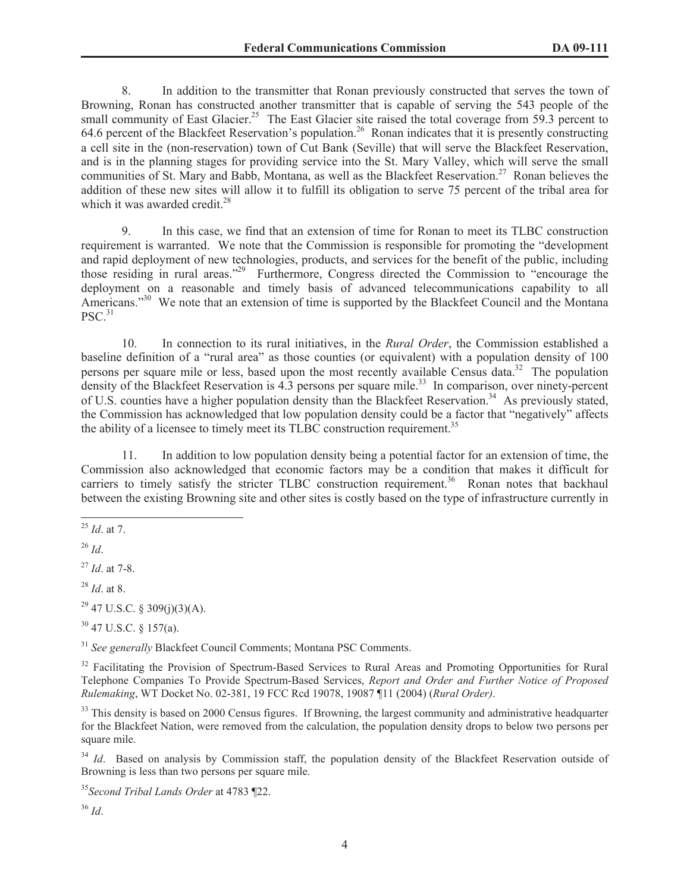8. In addition to the transmitter that Ronan previously constructed that serves the town of Browning, Ronan has constructed another transmitter that is capable of serving the 543 people of the small community of East Glacier.<sup>25</sup> The East Glacier site raised the total coverage from 59.3 percent to 64.6 percent of the Blackfeet Reservation's population.<sup>26</sup> Ronan indicates that it is presently constructing a cell site in the (non-reservation) town of Cut Bank (Seville) that will serve the Blackfeet Reservation, and is in the planning stages for providing service into the St. Mary Valley, which will serve the small communities of St. Mary and Babb, Montana, as well as the Blackfeet Reservation.<sup>27</sup> Ronan believes the addition of these new sites will allow it to fulfill its obligation to serve 75 percent of the tribal area for which it was awarded credit. $28$ 

9. In this case, we find that an extension of time for Ronan to meet its TLBC construction requirement is warranted. We note that the Commission is responsible for promoting the "development and rapid deployment of new technologies, products, and services for the benefit of the public, including those residing in rural areas."<sup>29</sup> Furthermore, Congress directed the Commission to "encourage the deployment on a reasonable and timely basis of advanced telecommunications capability to all Americans."<sup>30</sup> We note that an extension of time is supported by the Blackfeet Council and the Montana  $PSC.<sup>31</sup>$ 

10. In connection to its rural initiatives, in the *Rural Order*, the Commission established a baseline definition of a "rural area" as those counties (or equivalent) with a population density of 100 persons per square mile or less, based upon the most recently available Census data.<sup>32</sup> The population density of the Blackfeet Reservation is 4.3 persons per square mile.<sup>33</sup> In comparison, over ninety-percent of U.S. counties have a higher population density than the Blackfeet Reservation.<sup>34</sup> As previously stated, the Commission has acknowledged that low population density could be a factor that "negatively" affects the ability of a licensee to timely meet its TLBC construction requirement.<sup>35</sup>

11. In addition to low population density being a potential factor for an extension of time, the Commission also acknowledged that economic factors may be a condition that makes it difficult for carriers to timely satisfy the stricter TLBC construction requirement.<sup>36</sup> Ronan notes that backhaul between the existing Browning site and other sites is costly based on the type of infrastructure currently in

<sup>29</sup> 47 U.S.C. § 309(j)(3)(A).

<sup>30</sup> 47 U.S.C. § 157(a).

<sup>31</sup> *See generally* Blackfeet Council Comments; Montana PSC Comments.

<sup>32</sup> Facilitating the Provision of Spectrum-Based Services to Rural Areas and Promoting Opportunities for Rural Telephone Companies To Provide Spectrum-Based Services, *Report and Order and Further Notice of Proposed Rulemaking*, WT Docket No. 02-381, 19 FCC Rcd 19078, 19087 ¶11 (2004) (*Rural Order)*.

<sup>33</sup> This density is based on 2000 Census figures. If Browning, the largest community and administrative headquarter for the Blackfeet Nation, were removed from the calculation, the population density drops to below two persons per square mile.

<sup>34</sup> *Id*. Based on analysis by Commission staff, the population density of the Blackfeet Reservation outside of Browning is less than two persons per square mile.

<sup>35</sup>*Second Tribal Lands Order* at 4783 ¶22.

<sup>36</sup> *Id*.

<sup>25</sup> *Id*. at 7.

<sup>26</sup> *Id*.

<sup>27</sup> *Id*. at 7-8.

<sup>28</sup> *Id*. at 8.